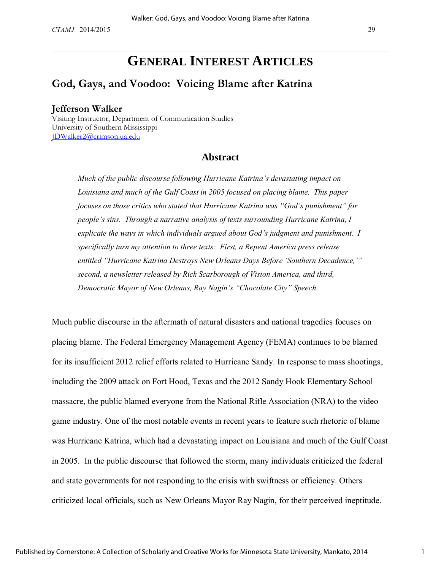# **GENERAL INTEREST ARTICLES**

# **God, Gays, and Voodoo: Voicing Blame after Katrina**

#### **Jefferson Walker**

Visiting Instructor, Department of Communication Studies University of Southern Mississippi [JDWalker2@crimson.ua.edu](mailto:JDWalker2@crimson.ua.edu)

### **Abstract**

*Much of the public discourse following Hurricane Katrina's devastating impact on Louisiana and much of the Gulf Coast in 2005 focused on placing blame. This paper focuses on those critics who stated that Hurricane Katrina was "God's punishment" for people's sins. Through a narrative analysis of texts surrounding Hurricane Katrina, I explicate the ways in which individuals argued about God's judgment and punishment. I specifically turn my attention to three texts: First, a Repent America press release entitled "Hurricane Katrina Destroys New Orleans Days Before 'Southern Decadence,'" second, a newsletter released by Rick Scarborough of Vision America, and third, Democratic Mayor of New Orleans, Ray Nagin's "Chocolate City" Speech.* 

Much public discourse in the aftermath of natural disasters and national tragedies focuses on placing blame. The Federal Emergency Management Agency (FEMA) continues to be blamed for its insufficient 2012 relief efforts related to Hurricane Sandy. In response to mass shootings, including the 2009 attack on Fort Hood, Texas and the 2012 Sandy Hook Elementary School massacre, the public blamed everyone from the National Rifle Association (NRA) to the video game industry. One of the most notable events in recent years to feature such rhetoric of blame was Hurricane Katrina, which had a devastating impact on Louisiana and much of the Gulf Coast in 2005. In the public discourse that followed the storm, many individuals criticized the federal and state governments for not responding to the crisis with swiftness or efficiency. Others criticized local officials, such as New Orleans Mayor Ray Nagin, for their perceived ineptitude.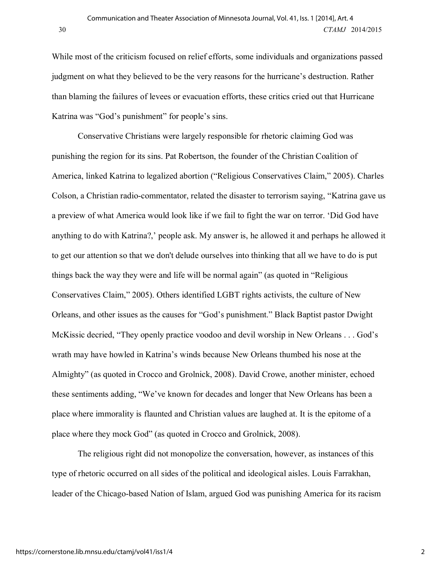While most of the criticism focused on relief efforts, some individuals and organizations passed judgment on what they believed to be the very reasons for the hurricane's destruction. Rather than blaming the failures of levees or evacuation efforts, these critics cried out that Hurricane Katrina was "God's punishment" for people's sins.

Conservative Christians were largely responsible for rhetoric claiming God was punishing the region for its sins. Pat Robertson, the founder of the Christian Coalition of America, linked Katrina to legalized abortion ("Religious Conservatives Claim," 2005). Charles Colson, a Christian radio-commentator, related the disaster to terrorism saying, "Katrina gave us a preview of what America would look like if we fail to fight the war on terror. 'Did God have anything to do with Katrina?,' people ask. My answer is, he allowed it and perhaps he allowed it to get our attention so that we don't delude ourselves into thinking that all we have to do is put things back the way they were and life will be normal again" (as quoted in "Religious Conservatives Claim," 2005). Others identified LGBT rights activists, the culture of New Orleans, and other issues as the causes for "God's punishment." Black Baptist pastor Dwight McKissic decried, "They openly practice voodoo and devil worship in New Orleans . . . God's wrath may have howled in Katrina's winds because New Orleans thumbed his nose at the Almighty" (as quoted in Crocco and Grolnick, 2008). David Crowe, another minister, echoed these sentiments adding, "We've known for decades and longer that New Orleans has been a place where immorality is flaunted and Christian values are laughed at. It is the epitome of a place where they mock God" (as quoted in Crocco and Grolnick, 2008).

The religious right did not monopolize the conversation, however, as instances of this type of rhetoric occurred on all sides of the political and ideological aisles. Louis Farrakhan, leader of the Chicago-based Nation of Islam, argued God was punishing America for its racism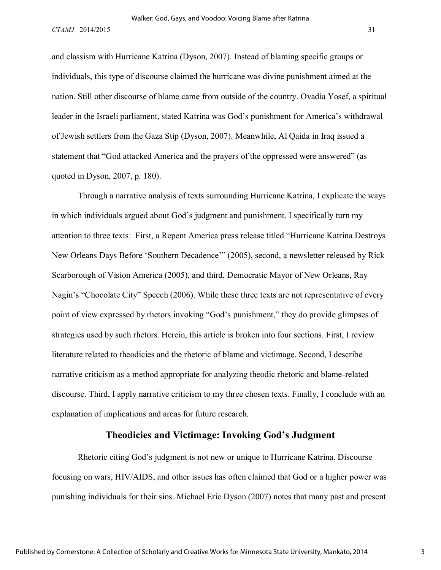and classism with Hurricane Katrina (Dyson, 2007). Instead of blaming specific groups or individuals, this type of discourse claimed the hurricane was divine punishment aimed at the nation. Still other discourse of blame came from outside of the country. Ovadia Yosef, a spiritual leader in the Israeli parliament, stated Katrina was God's punishment for America's withdrawal of Jewish settlers from the Gaza Stip (Dyson, 2007). Meanwhile, Al Qaida in Iraq issued a statement that "God attacked America and the prayers of the oppressed were answered" (as quoted in Dyson, 2007, p. 180).

Through a narrative analysis of texts surrounding Hurricane Katrina, I explicate the ways in which individuals argued about God's judgment and punishment. I specifically turn my attention to three texts: First, a Repent America press release titled "Hurricane Katrina Destroys New Orleans Days Before 'Southern Decadence'" (2005), second, a newsletter released by Rick Scarborough of Vision America (2005), and third, Democratic Mayor of New Orleans, Ray Nagin's "Chocolate City" Speech (2006). While these three texts are not representative of every point of view expressed by rhetors invoking "God's punishment," they do provide glimpses of strategies used by such rhetors. Herein, this article is broken into four sections. First, I review literature related to theodicies and the rhetoric of blame and victimage. Second, I describe narrative criticism as a method appropriate for analyzing theodic rhetoric and blame-related discourse. Third, I apply narrative criticism to my three chosen texts. Finally, I conclude with an explanation of implications and areas for future research.

#### **Theodicies and Victimage: Invoking God's Judgment**

Rhetoric citing God's judgment is not new or unique to Hurricane Katrina. Discourse focusing on wars, HIV/AIDS, and other issues has often claimed that God or a higher power was punishing individuals for their sins. Michael Eric Dyson (2007) notes that many past and present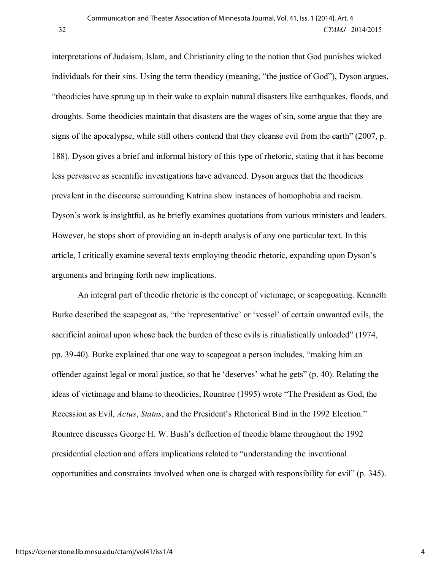interpretations of Judaism, Islam, and Christianity cling to the notion that God punishes wicked individuals for their sins. Using the term theodicy (meaning, "the justice of God"), Dyson argues, "theodicies have sprung up in their wake to explain natural disasters like earthquakes, floods, and droughts. Some theodicies maintain that disasters are the wages of sin, some argue that they are signs of the apocalypse, while still others contend that they cleanse evil from the earth" (2007, p. 188). Dyson gives a brief and informal history of this type of rhetoric, stating that it has become less pervasive as scientific investigations have advanced. Dyson argues that the theodicies prevalent in the discourse surrounding Katrina show instances of homophobia and racism. Dyson's work is insightful, as he briefly examines quotations from various ministers and leaders. However, he stops short of providing an in-depth analysis of any one particular text. In this article, I critically examine several texts employing theodic rhetoric, expanding upon Dyson's arguments and bringing forth new implications.

An integral part of theodic rhetoric is the concept of victimage, or scapegoating. Kenneth Burke described the scapegoat as, "the 'representative' or 'vessel' of certain unwanted evils, the sacrificial animal upon whose back the burden of these evils is ritualistically unloaded" (1974, pp. 39-40). Burke explained that one way to scapegoat a person includes, "making him an offender against legal or moral justice, so that he 'deserves' what he gets" (p. 40). Relating the ideas of victimage and blame to theodicies, Rountree (1995) wrote "The President as God, the Recession as Evil, *Actus*, *Status*, and the President's Rhetorical Bind in the 1992 Election." Rountree discusses George H. W. Bush's deflection of theodic blame throughout the 1992 presidential election and offers implications related to "understanding the inventional opportunities and constraints involved when one is charged with responsibility for evil" (p. 345).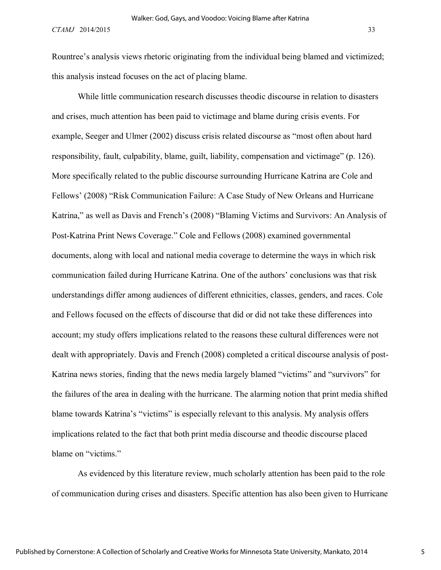Rountree's analysis views rhetoric originating from the individual being blamed and victimized; this analysis instead focuses on the act of placing blame.

While little communication research discusses theodic discourse in relation to disasters and crises, much attention has been paid to victimage and blame during crisis events. For example, Seeger and Ulmer (2002) discuss crisis related discourse as "most often about hard responsibility, fault, culpability, blame, guilt, liability, compensation and victimage" (p. 126). More specifically related to the public discourse surrounding Hurricane Katrina are Cole and Fellows' (2008) "Risk Communication Failure: A Case Study of New Orleans and Hurricane Katrina," as well as Davis and French's (2008) "Blaming Victims and Survivors: An Analysis of Post-Katrina Print News Coverage." Cole and Fellows (2008) examined governmental documents, along with local and national media coverage to determine the ways in which risk communication failed during Hurricane Katrina. One of the authors' conclusions was that risk understandings differ among audiences of different ethnicities, classes, genders, and races. Cole and Fellows focused on the effects of discourse that did or did not take these differences into account; my study offers implications related to the reasons these cultural differences were not dealt with appropriately. Davis and French (2008) completed a critical discourse analysis of post-Katrina news stories, finding that the news media largely blamed "victims" and "survivors" for the failures of the area in dealing with the hurricane. The alarming notion that print media shifted blame towards Katrina's "victims" is especially relevant to this analysis. My analysis offers implications related to the fact that both print media discourse and theodic discourse placed blame on "victims."

As evidenced by this literature review, much scholarly attention has been paid to the role of communication during crises and disasters. Specific attention has also been given to Hurricane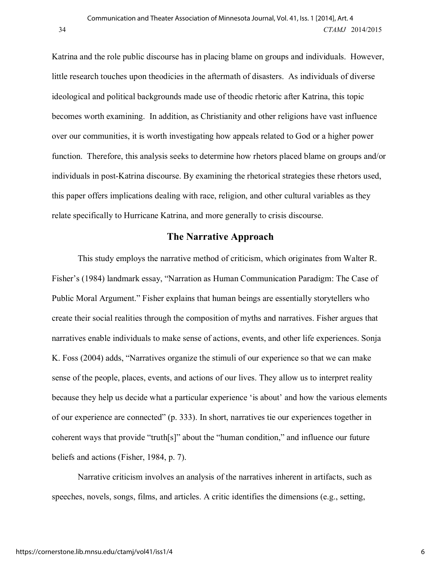Katrina and the role public discourse has in placing blame on groups and individuals. However, little research touches upon theodicies in the aftermath of disasters. As individuals of diverse ideological and political backgrounds made use of theodic rhetoric after Katrina, this topic becomes worth examining. In addition, as Christianity and other religions have vast influence over our communities, it is worth investigating how appeals related to God or a higher power function. Therefore, this analysis seeks to determine how rhetors placed blame on groups and/or individuals in post-Katrina discourse. By examining the rhetorical strategies these rhetors used, this paper offers implications dealing with race, religion, and other cultural variables as they relate specifically to Hurricane Katrina, and more generally to crisis discourse.

## **The Narrative Approach**

This study employs the narrative method of criticism, which originates from Walter R. Fisher's (1984) landmark essay, "Narration as Human Communication Paradigm: The Case of Public Moral Argument." Fisher explains that human beings are essentially storytellers who create their social realities through the composition of myths and narratives. Fisher argues that narratives enable individuals to make sense of actions, events, and other life experiences. Sonja K. Foss (2004) adds, "Narratives organize the stimuli of our experience so that we can make sense of the people, places, events, and actions of our lives. They allow us to interpret reality because they help us decide what a particular experience 'is about' and how the various elements of our experience are connected" (p. 333). In short, narratives tie our experiences together in coherent ways that provide "truth[s]" about the "human condition," and influence our future beliefs and actions (Fisher, 1984, p. 7).

Narrative criticism involves an analysis of the narratives inherent in artifacts, such as speeches, novels, songs, films, and articles. A critic identifies the dimensions (e.g., setting,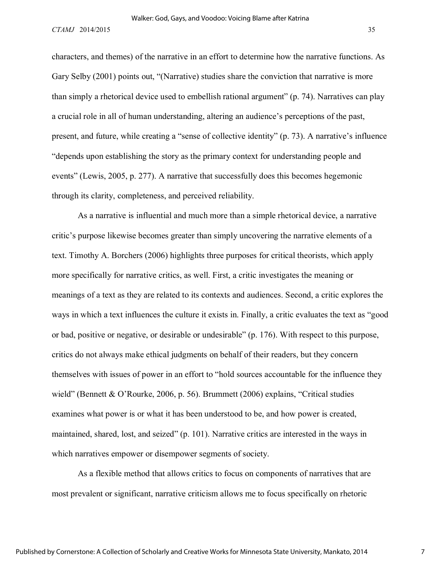characters, and themes) of the narrative in an effort to determine how the narrative functions. As Gary Selby (2001) points out, "(Narrative) studies share the conviction that narrative is more than simply a rhetorical device used to embellish rational argument" (p. 74). Narratives can play a crucial role in all of human understanding, altering an audience's perceptions of the past, present, and future, while creating a "sense of collective identity" (p. 73). A narrative's influence "depends upon establishing the story as the primary context for understanding people and events" (Lewis, 2005, p. 277). A narrative that successfully does this becomes hegemonic through its clarity, completeness, and perceived reliability.

As a narrative is influential and much more than a simple rhetorical device, a narrative critic's purpose likewise becomes greater than simply uncovering the narrative elements of a text. Timothy A. Borchers (2006) highlights three purposes for critical theorists, which apply more specifically for narrative critics, as well. First, a critic investigates the meaning or meanings of a text as they are related to its contexts and audiences. Second, a critic explores the ways in which a text influences the culture it exists in. Finally, a critic evaluates the text as "good or bad, positive or negative, or desirable or undesirable" (p. 176). With respect to this purpose, critics do not always make ethical judgments on behalf of their readers, but they concern themselves with issues of power in an effort to "hold sources accountable for the influence they wield" (Bennett & O'Rourke, 2006, p. 56). Brummett (2006) explains, "Critical studies examines what power is or what it has been understood to be, and how power is created, maintained, shared, lost, and seized" (p. 101). Narrative critics are interested in the ways in which narratives empower or disempower segments of society.

As a flexible method that allows critics to focus on components of narratives that are most prevalent or significant, narrative criticism allows me to focus specifically on rhetoric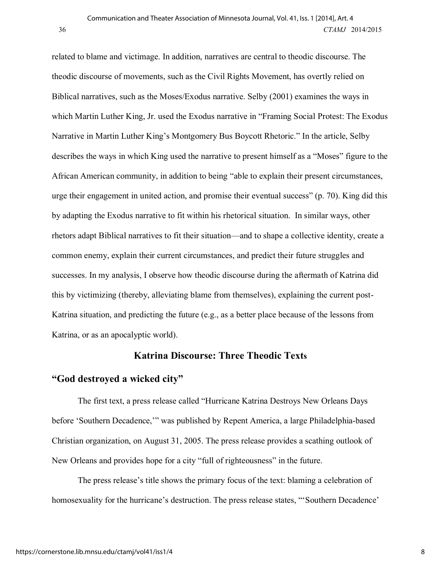related to blame and victimage. In addition, narratives are central to theodic discourse. The theodic discourse of movements, such as the Civil Rights Movement, has overtly relied on Biblical narratives, such as the Moses/Exodus narrative. Selby (2001) examines the ways in which Martin Luther King, Jr. used the Exodus narrative in "Framing Social Protest: The Exodus Narrative in Martin Luther King's Montgomery Bus Boycott Rhetoric." In the article, Selby describes the ways in which King used the narrative to present himself as a "Moses" figure to the African American community, in addition to being "able to explain their present circumstances, urge their engagement in united action, and promise their eventual success" (p. 70). King did this by adapting the Exodus narrative to fit within his rhetorical situation. In similar ways, other rhetors adapt Biblical narratives to fit their situation—and to shape a collective identity, create a common enemy, explain their current circumstances, and predict their future struggles and successes. In my analysis, I observe how theodic discourse during the aftermath of Katrina did this by victimizing (thereby, alleviating blame from themselves), explaining the current post-Katrina situation, and predicting the future (e.g., as a better place because of the lessons from Katrina, or as an apocalyptic world).

# **Katrina Discourse: Three Theodic Texts**

### **"God destroyed a wicked city"**

The first text, a press release called "Hurricane Katrina Destroys New Orleans Days before 'Southern Decadence,'" was published by Repent America, a large Philadelphia-based Christian organization, on August 31, 2005. The press release provides a scathing outlook of New Orleans and provides hope for a city "full of righteousness" in the future.

The press release's title shows the primary focus of the text: blaming a celebration of homosexuality for the hurricane's destruction. The press release states, "Southern Decadence'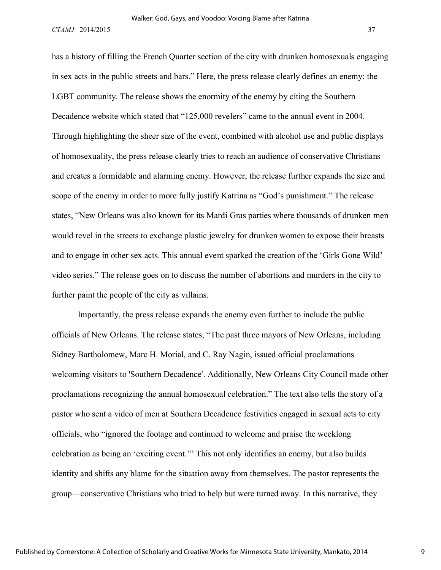has a history of filling the French Quarter section of the city with drunken homosexuals engaging in sex acts in the public streets and bars." Here, the press release clearly defines an enemy: the LGBT community. The release shows the enormity of the enemy by citing the Southern Decadence website which stated that "125,000 revelers" came to the annual event in 2004. Through highlighting the sheer size of the event, combined with alcohol use and public displays of homosexuality, the press release clearly tries to reach an audience of conservative Christians and creates a formidable and alarming enemy. However, the release further expands the size and scope of the enemy in order to more fully justify Katrina as "God's punishment." The release states, "New Orleans was also known for its Mardi Gras parties where thousands of drunken men would revel in the streets to exchange plastic jewelry for drunken women to expose their breasts and to engage in other sex acts. This annual event sparked the creation of the 'Girls Gone Wild' video series." The release goes on to discuss the number of abortions and murders in the city to further paint the people of the city as villains.

Importantly, the press release expands the enemy even further to include the public officials of New Orleans. The release states, "The past three mayors of New Orleans, including Sidney Bartholomew, Marc H. Morial, and C. Ray Nagin, issued official proclamations welcoming visitors to 'Southern Decadence'. Additionally, New Orleans City Council made other proclamations recognizing the annual homosexual celebration." The text also tells the story of a pastor who sent a video of men at Southern Decadence festivities engaged in sexual acts to city officials, who "ignored the footage and continued to welcome and praise the weeklong celebration as being an 'exciting event.'" This not only identifies an enemy, but also builds identity and shifts any blame for the situation away from themselves. The pastor represents the group—conservative Christians who tried to help but were turned away. In this narrative, they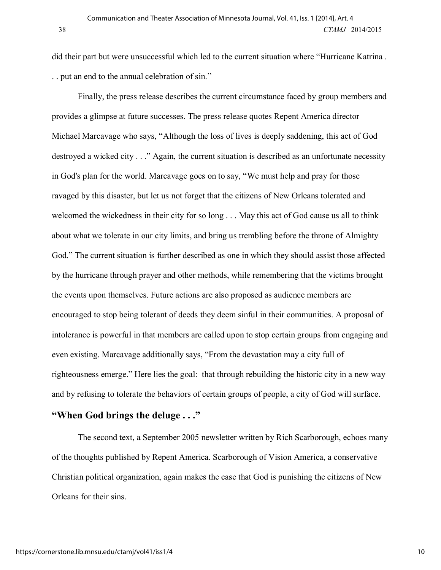did their part but were unsuccessful which led to the current situation where "Hurricane Katrina . . . put an end to the annual celebration of sin."

Finally, the press release describes the current circumstance faced by group members and provides a glimpse at future successes. The press release quotes Repent America director Michael Marcavage who says, "Although the loss of lives is deeply saddening, this act of God destroyed a wicked city . . ." Again, the current situation is described as an unfortunate necessity in God's plan for the world. Marcavage goes on to say, "We must help and pray for those ravaged by this disaster, but let us not forget that the citizens of New Orleans tolerated and welcomed the wickedness in their city for so long . . . May this act of God cause us all to think about what we tolerate in our city limits, and bring us trembling before the throne of Almighty God." The current situation is further described as one in which they should assist those affected by the hurricane through prayer and other methods, while remembering that the victims brought the events upon themselves. Future actions are also proposed as audience members are encouraged to stop being tolerant of deeds they deem sinful in their communities. A proposal of intolerance is powerful in that members are called upon to stop certain groups from engaging and even existing. Marcavage additionally says, "From the devastation may a city full of righteousness emerge." Here lies the goal: that through rebuilding the historic city in a new way and by refusing to tolerate the behaviors of certain groups of people, a city of God will surface.

# **"When God brings the deluge . . ."**

The second text, a September 2005 newsletter written by Rich Scarborough, echoes many of the thoughts published by Repent America. Scarborough of Vision America, a conservative Christian political organization, again makes the case that God is punishing the citizens of New Orleans for their sins.

https://cornerstone.lib.mnsu.edu/ctamj/vol41/iss1/4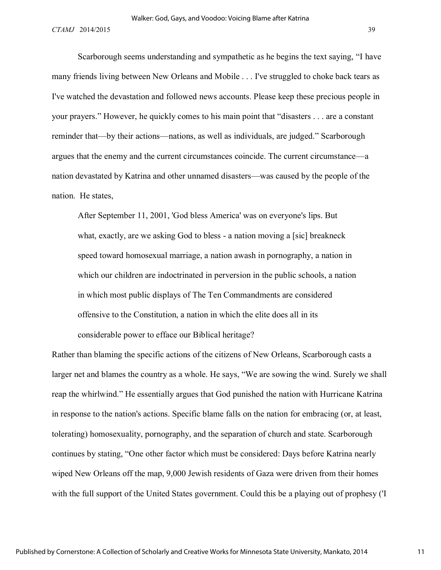Scarborough seems understanding and sympathetic as he begins the text saying, "I have many friends living between New Orleans and Mobile . . . I've struggled to choke back tears as I've watched the devastation and followed news accounts. Please keep these precious people in your prayers." However, he quickly comes to his main point that "disasters . . . are a constant reminder that—by their actions—nations, as well as individuals, are judged." Scarborough argues that the enemy and the current circumstances coincide. The current circumstance—a nation devastated by Katrina and other unnamed disasters—was caused by the people of the nation. He states,

After September 11, 2001, 'God bless America' was on everyone's lips. But what, exactly, are we asking God to bless - a nation moving a [sic] breakneck speed toward homosexual marriage, a nation awash in pornography, a nation in which our children are indoctrinated in perversion in the public schools, a nation in which most public displays of The Ten Commandments are considered offensive to the Constitution, a nation in which the elite does all in its considerable power to efface our Biblical heritage?

Rather than blaming the specific actions of the citizens of New Orleans, Scarborough casts a larger net and blames the country as a whole. He says, "We are sowing the wind. Surely we shall reap the whirlwind." He essentially argues that God punished the nation with Hurricane Katrina in response to the nation's actions. Specific blame falls on the nation for embracing (or, at least, tolerating) homosexuality, pornography, and the separation of church and state. Scarborough continues by stating, "One other factor which must be considered: Days before Katrina nearly wiped New Orleans off the map, 9,000 Jewish residents of Gaza were driven from their homes with the full support of the United States government. Could this be a playing out of prophesy ('I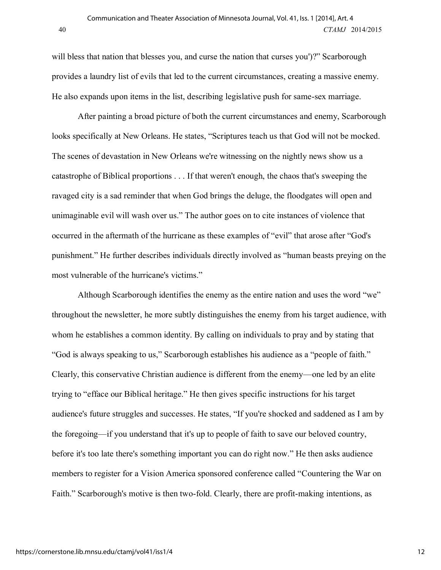will bless that nation that blesses you, and curse the nation that curses you')?" Scarborough provides a laundry list of evils that led to the current circumstances, creating a massive enemy. He also expands upon items in the list, describing legislative push for same-sex marriage.

After painting a broad picture of both the current circumstances and enemy, Scarborough looks specifically at New Orleans. He states, "Scriptures teach us that God will not be mocked. The scenes of devastation in New Orleans we're witnessing on the nightly news show us a catastrophe of Biblical proportions . . . If that weren't enough, the chaos that's sweeping the ravaged city is a sad reminder that when God brings the deluge, the floodgates will open and unimaginable evil will wash over us." The author goes on to cite instances of violence that occurred in the aftermath of the hurricane as these examples of "evil" that arose after "God's punishment." He further describes individuals directly involved as "human beasts preying on the most vulnerable of the hurricane's victims."

Although Scarborough identifies the enemy as the entire nation and uses the word "we" throughout the newsletter, he more subtly distinguishes the enemy from his target audience, with whom he establishes a common identity. By calling on individuals to pray and by stating that "God is always speaking to us," Scarborough establishes his audience as a "people of faith." Clearly, this conservative Christian audience is different from the enemy—one led by an elite trying to "efface our Biblical heritage." He then gives specific instructions for his target audience's future struggles and successes. He states, "If you're shocked and saddened as I am by the foregoing—if you understand that it's up to people of faith to save our beloved country, before it's too late there's something important you can do right now." He then asks audience members to register for a Vision America sponsored conference called "Countering the War on Faith." Scarborough's motive is then two-fold. Clearly, there are profit-making intentions, as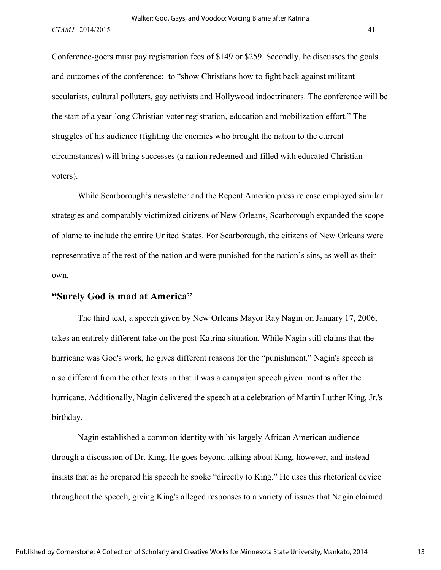Conference-goers must pay registration fees of \$149 or \$259. Secondly, he discusses the goals and outcomes of the conference: to "show Christians how to fight back against militant secularists, cultural polluters, gay activists and Hollywood indoctrinators. The conference will be the start of a year-long Christian voter registration, education and mobilization effort." The struggles of his audience (fighting the enemies who brought the nation to the current circumstances) will bring successes (a nation redeemed and filled with educated Christian voters).

While Scarborough's newsletter and the Repent America press release employed similar strategies and comparably victimized citizens of New Orleans, Scarborough expanded the scope of blame to include the entire United States. For Scarborough, the citizens of New Orleans were representative of the rest of the nation and were punished for the nation's sins, as well as their own.

### **"Surely God is mad at America"**

The third text, a speech given by New Orleans Mayor Ray Nagin on January 17, 2006, takes an entirely different take on the post-Katrina situation. While Nagin still claims that the hurricane was God's work, he gives different reasons for the "punishment." Nagin's speech is also different from the other texts in that it was a campaign speech given months after the hurricane. Additionally, Nagin delivered the speech at a celebration of Martin Luther King, Jr.'s birthday.

Nagin established a common identity with his largely African American audience through a discussion of Dr. King. He goes beyond talking about King, however, and instead insists that as he prepared his speech he spoke "directly to King." He uses this rhetorical device throughout the speech, giving King's alleged responses to a variety of issues that Nagin claimed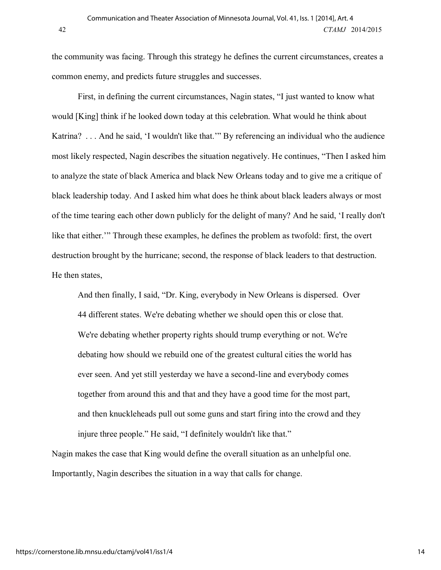the community was facing. Through this strategy he defines the current circumstances, creates a common enemy, and predicts future struggles and successes.

First, in defining the current circumstances, Nagin states, "I just wanted to know what would [King] think if he looked down today at this celebration. What would he think about Katrina? . . . And he said, 'I wouldn't like that.'" By referencing an individual who the audience most likely respected, Nagin describes the situation negatively. He continues, "Then I asked him to analyze the state of black America and black New Orleans today and to give me a critique of black leadership today. And I asked him what does he think about black leaders always or most of the time tearing each other down publicly for the delight of many? And he said, 'I really don't like that either.'" Through these examples, he defines the problem as twofold: first, the overt destruction brought by the hurricane; second, the response of black leaders to that destruction. He then states,

And then finally, I said, "Dr. King, everybody in New Orleans is dispersed. Over 44 different states. We're debating whether we should open this or close that. We're debating whether property rights should trump everything or not. We're debating how should we rebuild one of the greatest cultural cities the world has ever seen. And yet still yesterday we have a second-line and everybody comes together from around this and that and they have a good time for the most part, and then knuckleheads pull out some guns and start firing into the crowd and they injure three people." He said, "I definitely wouldn't like that."

Nagin makes the case that King would define the overall situation as an unhelpful one. Importantly, Nagin describes the situation in a way that calls for change.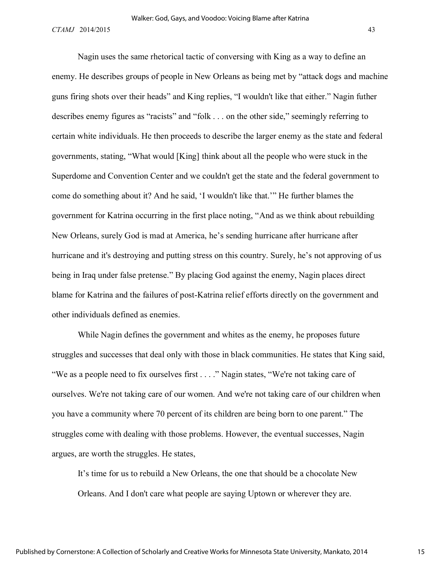Nagin uses the same rhetorical tactic of conversing with King as a way to define an enemy. He describes groups of people in New Orleans as being met by "attack dogs and machine guns firing shots over their heads" and King replies, "I wouldn't like that either." Nagin futher describes enemy figures as "racists" and "folk . . . on the other side," seemingly referring to certain white individuals. He then proceeds to describe the larger enemy as the state and federal governments, stating, "What would [King] think about all the people who were stuck in the Superdome and Convention Center and we couldn't get the state and the federal government to come do something about it? And he said, 'I wouldn't like that.'" He further blames the government for Katrina occurring in the first place noting, "And as we think about rebuilding New Orleans, surely God is mad at America, he's sending hurricane after hurricane after hurricane and it's destroying and putting stress on this country. Surely, he's not approving of us being in Iraq under false pretense." By placing God against the enemy, Nagin places direct blame for Katrina and the failures of post-Katrina relief efforts directly on the government and other individuals defined as enemies.

While Nagin defines the government and whites as the enemy, he proposes future struggles and successes that deal only with those in black communities. He states that King said, "We as a people need to fix ourselves first . . . ." Nagin states, "We're not taking care of ourselves. We're not taking care of our women. And we're not taking care of our children when you have a community where 70 percent of its children are being born to one parent." The struggles come with dealing with those problems. However, the eventual successes, Nagin argues, are worth the struggles. He states,

It's time for us to rebuild a New Orleans, the one that should be a chocolate New Orleans. And I don't care what people are saying Uptown or wherever they are.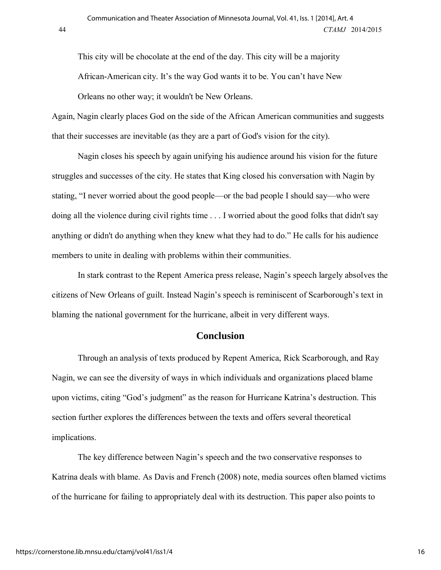This city will be chocolate at the end of the day. This city will be a majority African-American city. It's the way God wants it to be. You can't have New Orleans no other way; it wouldn't be New Orleans.

Again, Nagin clearly places God on the side of the African American communities and suggests that their successes are inevitable (as they are a part of God's vision for the city).

Nagin closes his speech by again unifying his audience around his vision for the future struggles and successes of the city. He states that King closed his conversation with Nagin by stating, "I never worried about the good people—or the bad people I should say—who were doing all the violence during civil rights time . . . I worried about the good folks that didn't say anything or didn't do anything when they knew what they had to do." He calls for his audience members to unite in dealing with problems within their communities.

In stark contrast to the Repent America press release, Nagin's speech largely absolves the citizens of New Orleans of guilt. Instead Nagin's speech is reminiscent of Scarborough's text in blaming the national government for the hurricane, albeit in very different ways.

#### **Conclusion**

Through an analysis of texts produced by Repent America, Rick Scarborough, and Ray Nagin, we can see the diversity of ways in which individuals and organizations placed blame upon victims, citing "God's judgment" as the reason for Hurricane Katrina's destruction. This section further explores the differences between the texts and offers several theoretical implications.

The key difference between Nagin's speech and the two conservative responses to Katrina deals with blame. As Davis and French (2008) note, media sources often blamed victims of the hurricane for failing to appropriately deal with its destruction. This paper also points to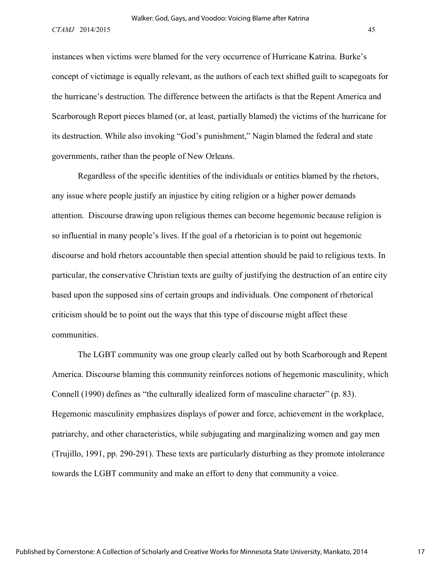instances when victims were blamed for the very occurrence of Hurricane Katrina. Burke's concept of victimage is equally relevant, as the authors of each text shifted guilt to scapegoats for the hurricane's destruction. The difference between the artifacts is that the Repent America and Scarborough Report pieces blamed (or, at least, partially blamed) the victims of the hurricane for its destruction. While also invoking "God's punishment," Nagin blamed the federal and state governments, rather than the people of New Orleans.

Regardless of the specific identities of the individuals or entities blamed by the rhetors, any issue where people justify an injustice by citing religion or a higher power demands attention. Discourse drawing upon religious themes can become hegemonic because religion is so influential in many people's lives. If the goal of a rhetorician is to point out hegemonic discourse and hold rhetors accountable then special attention should be paid to religious texts. In particular, the conservative Christian texts are guilty of justifying the destruction of an entire city based upon the supposed sins of certain groups and individuals. One component of rhetorical criticism should be to point out the ways that this type of discourse might affect these communities.

The LGBT community was one group clearly called out by both Scarborough and Repent America. Discourse blaming this community reinforces notions of hegemonic masculinity, which Connell (1990) defines as "the culturally idealized form of masculine character" (p. 83). Hegemonic masculinity emphasizes displays of power and force, achievement in the workplace, patriarchy, and other characteristics, while subjugating and marginalizing women and gay men (Trujillo, 1991, pp. 290-291). These texts are particularly disturbing as they promote intolerance towards the LGBT community and make an effort to deny that community a voice.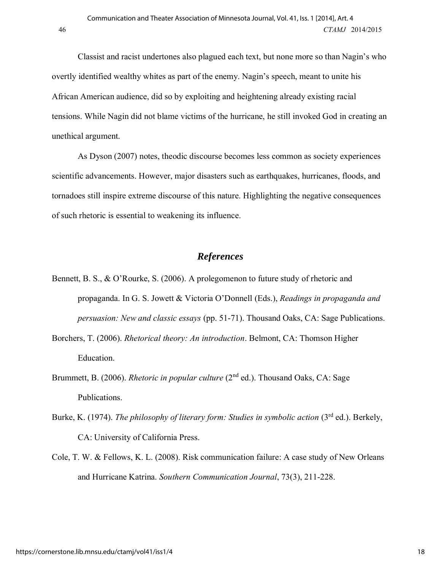Classist and racist undertones also plagued each text, but none more so than Nagin's who overtly identified wealthy whites as part of the enemy. Nagin's speech, meant to unite his African American audience, did so by exploiting and heightening already existing racial tensions. While Nagin did not blame victims of the hurricane, he still invoked God in creating an unethical argument.

As Dyson (2007) notes, theodic discourse becomes less common as society experiences scientific advancements. However, major disasters such as earthquakes, hurricanes, floods, and tornadoes still inspire extreme discourse of this nature. Highlighting the negative consequences of such rhetoric is essential to weakening its influence.

### *References*

- Bennett, B. S., & O'Rourke, S. (2006). A prolegomenon to future study of rhetoric and propaganda. In G. S. Jowett & Victoria O'Donnell (Eds.), *Readings in propaganda and persuasion: New and classic essays* (pp. 51-71). Thousand Oaks, CA: Sage Publications.
- Borchers, T. (2006). *Rhetorical theory: An introduction*. Belmont, CA: Thomson Higher Education.
- Brummett, B. (2006). *Rhetoric in popular culture* (2<sup>nd</sup> ed.). Thousand Oaks, CA: Sage Publications.
- Burke, K. (1974). *The philosophy of literary form: Studies in symbolic action* (3rd ed.). Berkely, CA: University of California Press.
- Cole, T. W. & Fellows, K. L. (2008). Risk communication failure: A case study of New Orleans and Hurricane Katrina. *Southern Communication Journal*, 73(3), 211-228.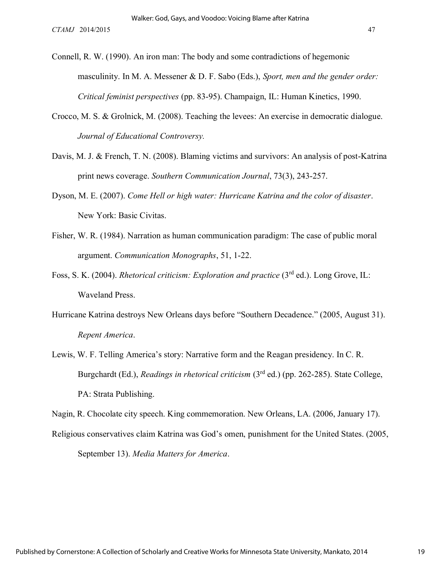- Connell, R. W. (1990). An iron man: The body and some contradictions of hegemonic masculinity. In M. A. Messener & D. F. Sabo (Eds.), *Sport, men and the gender order: Critical feminist perspectives* (pp. 83-95). Champaign, IL: Human Kinetics, 1990.
- Crocco, M. S. & Grolnick, M. (2008). Teaching the levees: An exercise in democratic dialogue. *Journal of Educational Controversy.*
- Davis, M. J. & French, T. N. (2008). Blaming victims and survivors: An analysis of post-Katrina print news coverage. *Southern Communication Journal*, 73(3), 243-257.
- Dyson, M. E. (2007). *Come Hell or high water: Hurricane Katrina and the color of disaster*. New York: Basic Civitas.
- Fisher, W. R. (1984). Narration as human communication paradigm: The case of public moral argument. *Communication Monographs*, 51, 1-22.
- Foss, S. K. (2004). *Rhetorical criticism: Exploration and practice* (3rd ed.). Long Grove, IL: Waveland Press.
- Hurricane Katrina destroys New Orleans days before "Southern Decadence." (2005, August 31). *Repent America*.
- Lewis, W. F. Telling America's story: Narrative form and the Reagan presidency. In C. R. Burgchardt (Ed.), *Readings in rhetorical criticism* (3rd ed.) (pp. 262-285). State College, PA: Strata Publishing.

Nagin, R. Chocolate city speech. King commemoration. New Orleans, LA. (2006, January 17).

Religious conservatives claim Katrina was God's omen, punishment for the United States. (2005, September 13). *Media Matters for America*.